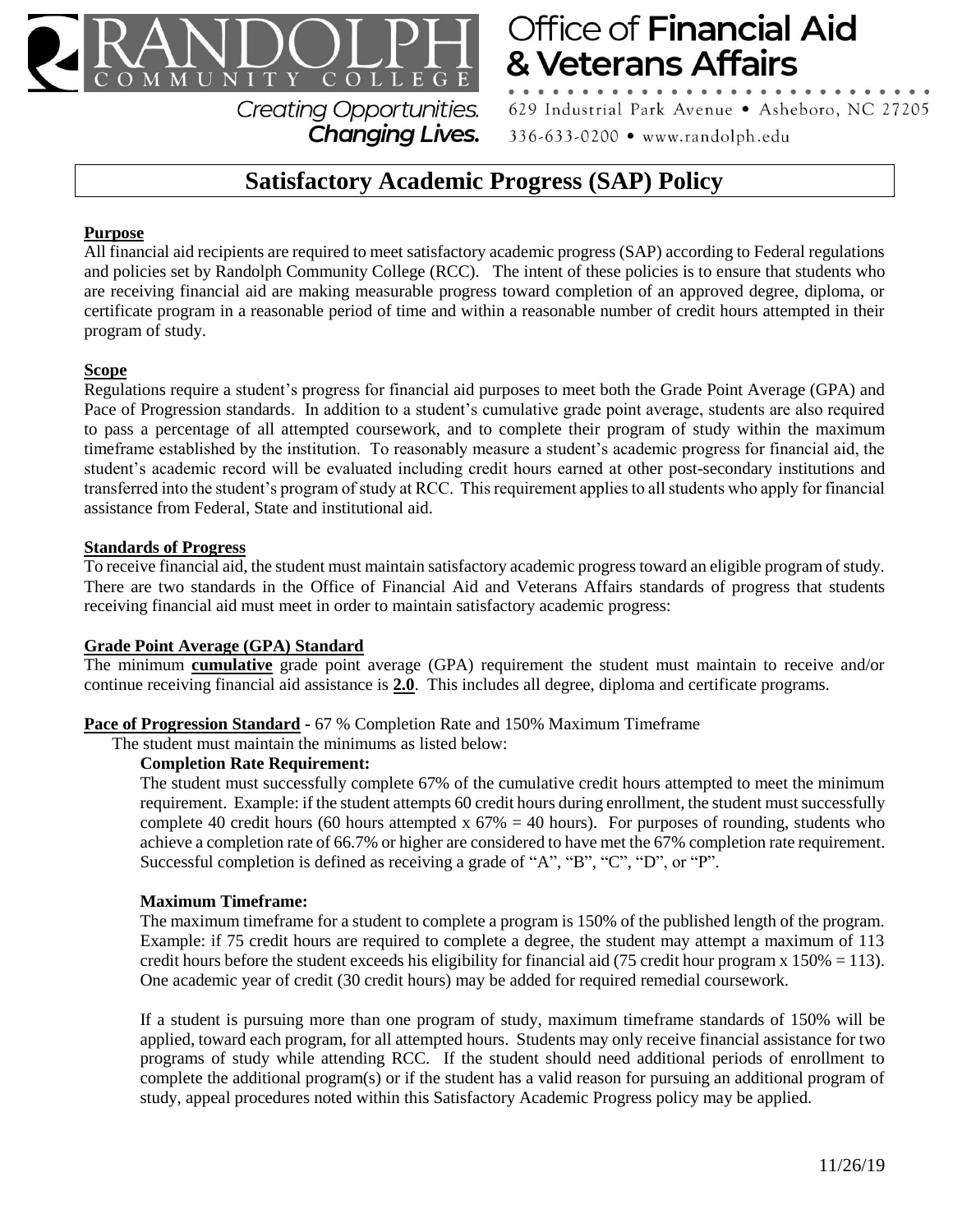

**Office of Financial Aid** & Veterans Affairs

629 Industrial Park Avenue . Asheboro, NC 27205 336-633-0200 • www.randolph.edu

# **Satisfactory Academic Progress (SAP) Policy**

**Changing Lives.** 

# **Purpose**

All financial aid recipients are required to meet satisfactory academic progress (SAP) according to Federal regulations and policies set by Randolph Community College (RCC). The intent of these policies is to ensure that students who are receiving financial aid are making measurable progress toward completion of an approved degree, diploma, or certificate program in a reasonable period of time and within a reasonable number of credit hours attempted in their program of study.

## **Scope**

Regulations require a student's progress for financial aid purposes to meet both the Grade Point Average (GPA) and Pace of Progression standards. In addition to a student's cumulative grade point average, students are also required to pass a percentage of all attempted coursework, and to complete their program of study within the maximum timeframe established by the institution. To reasonably measure a student's academic progress for financial aid, the student's academic record will be evaluated including credit hours earned at other post-secondary institutions and transferred into the student's program of study at RCC. This requirement applies to all students who apply for financial assistance from Federal, State and institutional aid.

## **Standards of Progress**

To receive financial aid, the student must maintain satisfactory academic progress toward an eligible program of study. There are two standards in the Office of Financial Aid and Veterans Affairs standards of progress that students receiving financial aid must meet in order to maintain satisfactory academic progress:

## **Grade Point Average (GPA) Standard**

The minimum **cumulative** grade point average (GPA) requirement the student must maintain to receive and/or continue receiving financial aid assistance is **2.0**. This includes all degree, diploma and certificate programs.

## **Pace of Progression Standard -** 67 % Completion Rate and 150% Maximum Timeframe

The student must maintain the minimums as listed below:

## **Completion Rate Requirement:**

The student must successfully complete 67% of the cumulative credit hours attempted to meet the minimum requirement. Example: if the student attempts 60 credit hours during enrollment, the student must successfully complete 40 credit hours (60 hours attempted x  $67\% = 40$  hours). For purposes of rounding, students who achieve a completion rate of 66.7% or higher are considered to have met the 67% completion rate requirement. Successful completion is defined as receiving a grade of "A", "B", "C", "D", or "P".

## **Maximum Timeframe:**

The maximum timeframe for a student to complete a program is 150% of the published length of the program. Example: if 75 credit hours are required to complete a degree, the student may attempt a maximum of 113 credit hours before the student exceeds his eligibility for financial aid (75 credit hour program x  $150% = 113$ ). One academic year of credit (30 credit hours) may be added for required remedial coursework.

If a student is pursuing more than one program of study, maximum timeframe standards of 150% will be applied, toward each program, for all attempted hours. Students may only receive financial assistance for two programs of study while attending RCC. If the student should need additional periods of enrollment to complete the additional program(s) or if the student has a valid reason for pursuing an additional program of study, appeal procedures noted within this Satisfactory Academic Progress policy may be applied.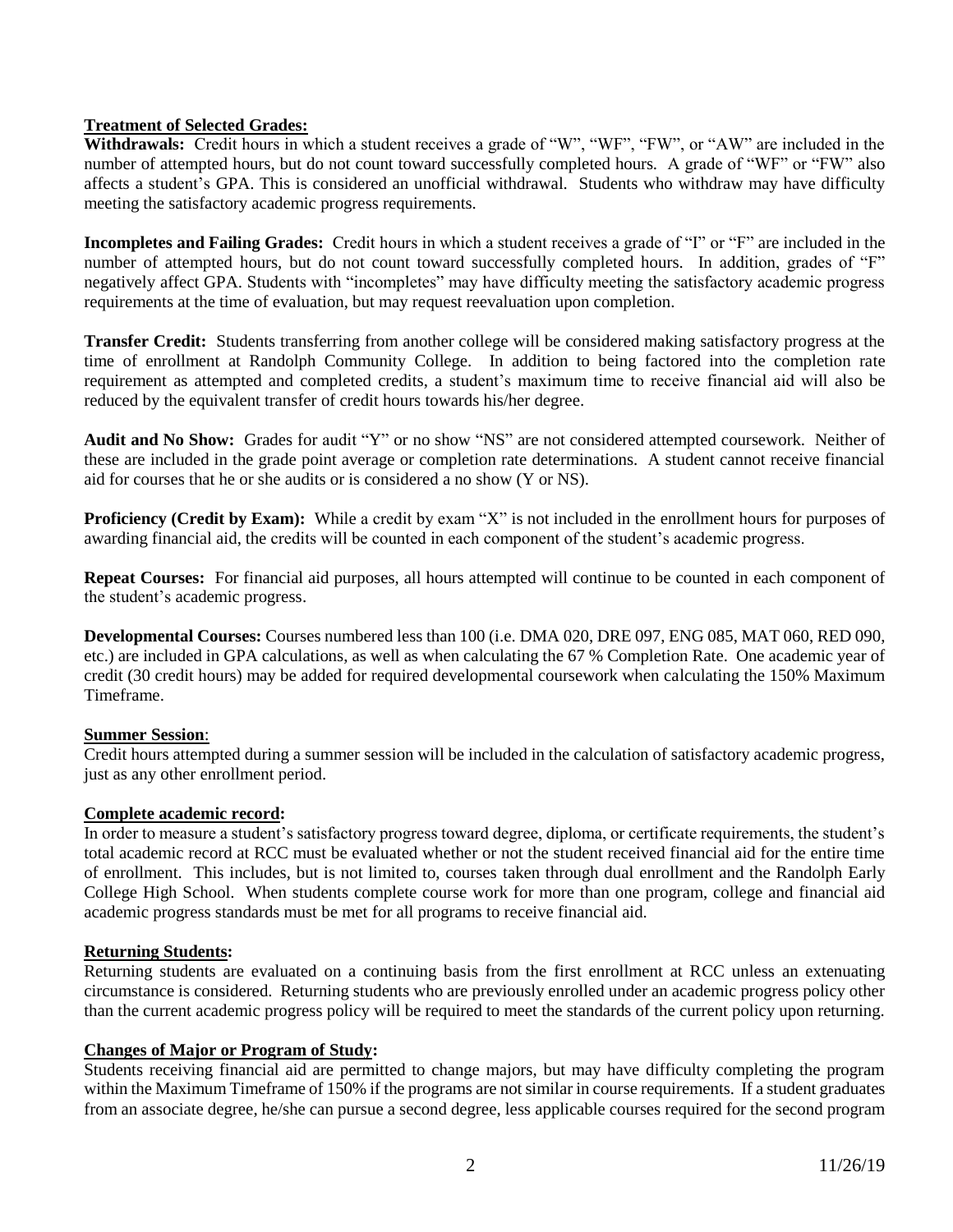## **Treatment of Selected Grades:**

**Withdrawals:** Credit hours in which a student receives a grade of "W", "WF", "FW", or "AW" are included in the number of attempted hours, but do not count toward successfully completed hours. A grade of "WF" or "FW" also affects a student's GPA. This is considered an unofficial withdrawal. Students who withdraw may have difficulty meeting the satisfactory academic progress requirements.

**Incompletes and Failing Grades:** Credit hours in which a student receives a grade of "I" or "F" are included in the number of attempted hours, but do not count toward successfully completed hours. In addition, grades of "F" negatively affect GPA. Students with "incompletes" may have difficulty meeting the satisfactory academic progress requirements at the time of evaluation, but may request reevaluation upon completion.

**Transfer Credit:** Students transferring from another college will be considered making satisfactory progress at the time of enrollment at Randolph Community College. In addition to being factored into the completion rate requirement as attempted and completed credits, a student's maximum time to receive financial aid will also be reduced by the equivalent transfer of credit hours towards his/her degree.

**Audit and No Show:** Grades for audit "Y" or no show "NS" are not considered attempted coursework. Neither of these are included in the grade point average or completion rate determinations. A student cannot receive financial aid for courses that he or she audits or is considered a no show (Y or NS).

**Proficiency (Credit by Exam):** While a credit by exam "X" is not included in the enrollment hours for purposes of awarding financial aid, the credits will be counted in each component of the student's academic progress.

**Repeat Courses:** For financial aid purposes, all hours attempted will continue to be counted in each component of the student's academic progress.

**Developmental Courses:** Courses numbered less than 100 (i.e. DMA 020, DRE 097, ENG 085, MAT 060, RED 090, etc.) are included in GPA calculations, as well as when calculating the 67 % Completion Rate. One academic year of credit (30 credit hours) may be added for required developmental coursework when calculating the 150% Maximum Timeframe.

## **Summer Session**:

Credit hours attempted during a summer session will be included in the calculation of satisfactory academic progress, just as any other enrollment period.

## **Complete academic record:**

In order to measure a student's satisfactory progress toward degree, diploma, or certificate requirements, the student's total academic record at RCC must be evaluated whether or not the student received financial aid for the entire time of enrollment. This includes, but is not limited to, courses taken through dual enrollment and the Randolph Early College High School. When students complete course work for more than one program, college and financial aid academic progress standards must be met for all programs to receive financial aid.

## **Returning Students:**

Returning students are evaluated on a continuing basis from the first enrollment at RCC unless an extenuating circumstance is considered. Returning students who are previously enrolled under an academic progress policy other than the current academic progress policy will be required to meet the standards of the current policy upon returning.

## **Changes of Major or Program of Study:**

Students receiving financial aid are permitted to change majors, but may have difficulty completing the program within the Maximum Timeframe of 150% if the programs are not similar in course requirements. If a student graduates from an associate degree, he/she can pursue a second degree, less applicable courses required for the second program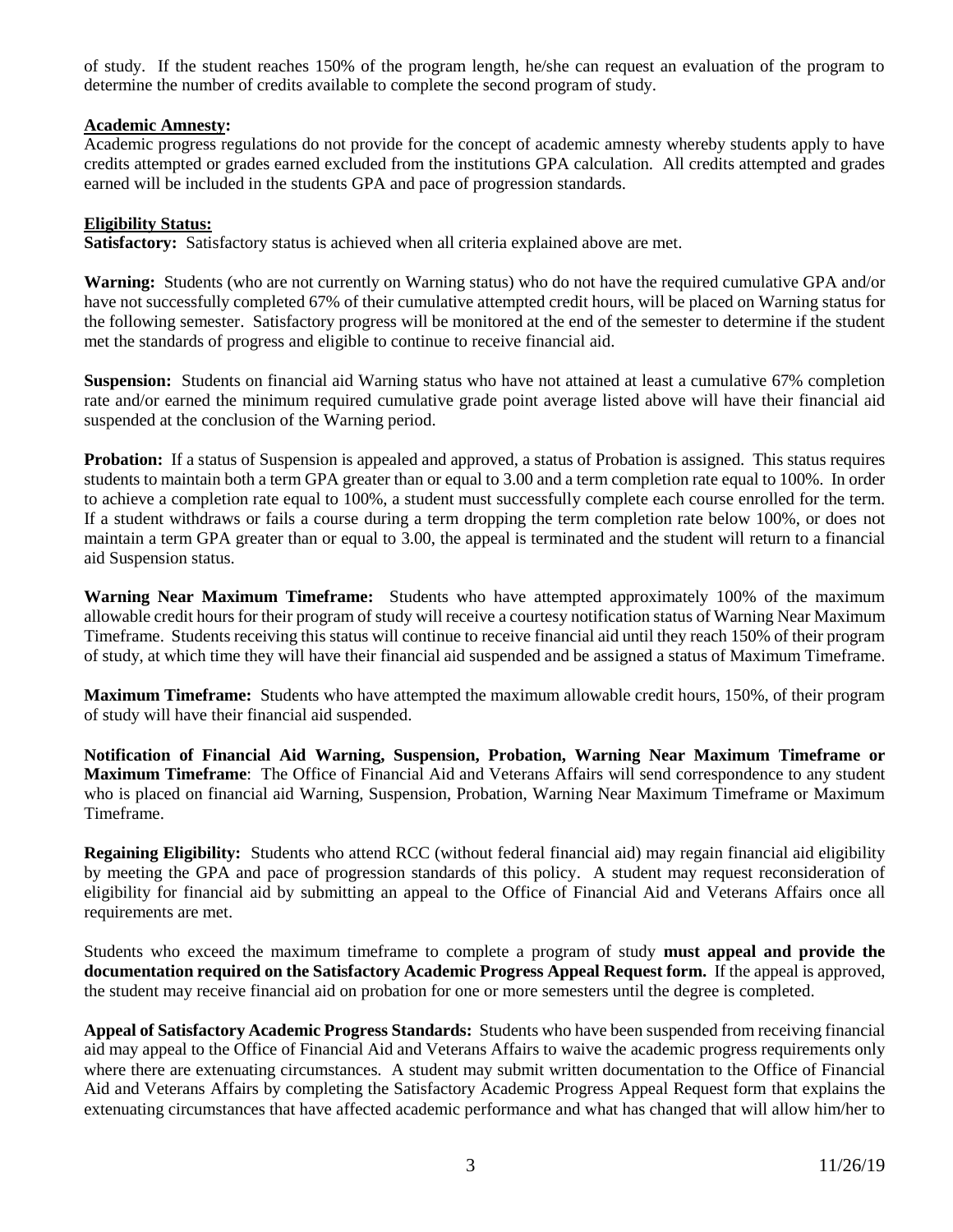of study. If the student reaches 150% of the program length, he/she can request an evaluation of the program to determine the number of credits available to complete the second program of study.

## **Academic Amnesty:**

Academic progress regulations do not provide for the concept of academic amnesty whereby students apply to have credits attempted or grades earned excluded from the institutions GPA calculation. All credits attempted and grades earned will be included in the students GPA and pace of progression standards.

## **Eligibility Status:**

**Satisfactory:** Satisfactory status is achieved when all criteria explained above are met.

**Warning:** Students (who are not currently on Warning status) who do not have the required cumulative GPA and/or have not successfully completed 67% of their cumulative attempted credit hours, will be placed on Warning status for the following semester. Satisfactory progress will be monitored at the end of the semester to determine if the student met the standards of progress and eligible to continue to receive financial aid.

**Suspension:** Students on financial aid Warning status who have not attained at least a cumulative 67% completion rate and/or earned the minimum required cumulative grade point average listed above will have their financial aid suspended at the conclusion of the Warning period.

**Probation:** If a status of Suspension is appealed and approved, a status of Probation is assigned. This status requires students to maintain both a term GPA greater than or equal to 3.00 and a term completion rate equal to 100%. In order to achieve a completion rate equal to 100%, a student must successfully complete each course enrolled for the term. If a student withdraws or fails a course during a term dropping the term completion rate below 100%, or does not maintain a term GPA greater than or equal to 3.00, the appeal is terminated and the student will return to a financial aid Suspension status.

**Warning Near Maximum Timeframe:** Students who have attempted approximately 100% of the maximum allowable credit hours for their program of study will receive a courtesy notification status of Warning Near Maximum Timeframe. Students receiving this status will continue to receive financial aid until they reach 150% of their program of study, at which time they will have their financial aid suspended and be assigned a status of Maximum Timeframe.

**Maximum Timeframe:** Students who have attempted the maximum allowable credit hours, 150%, of their program of study will have their financial aid suspended.

**Notification of Financial Aid Warning, Suspension, Probation, Warning Near Maximum Timeframe or Maximum Timeframe**:The Office of Financial Aid and Veterans Affairs will send correspondence to any student who is placed on financial aid Warning, Suspension, Probation, Warning Near Maximum Timeframe or Maximum Timeframe.

**Regaining Eligibility:** Students who attend RCC (without federal financial aid) may regain financial aid eligibility by meeting the GPA and pace of progression standards of this policy. A student may request reconsideration of eligibility for financial aid by submitting an appeal to the Office of Financial Aid and Veterans Affairs once all requirements are met.

Students who exceed the maximum timeframe to complete a program of study **must appeal and provide the documentation required on the Satisfactory Academic Progress Appeal Request form.** If the appeal is approved, the student may receive financial aid on probation for one or more semesters until the degree is completed.

**Appeal of Satisfactory Academic Progress Standards:** Students who have been suspended from receiving financial aid may appeal to the Office of Financial Aid and Veterans Affairs to waive the academic progress requirements only where there are extenuating circumstances. A student may submit written documentation to the Office of Financial Aid and Veterans Affairs by completing the Satisfactory Academic Progress Appeal Request form that explains the extenuating circumstances that have affected academic performance and what has changed that will allow him/her to